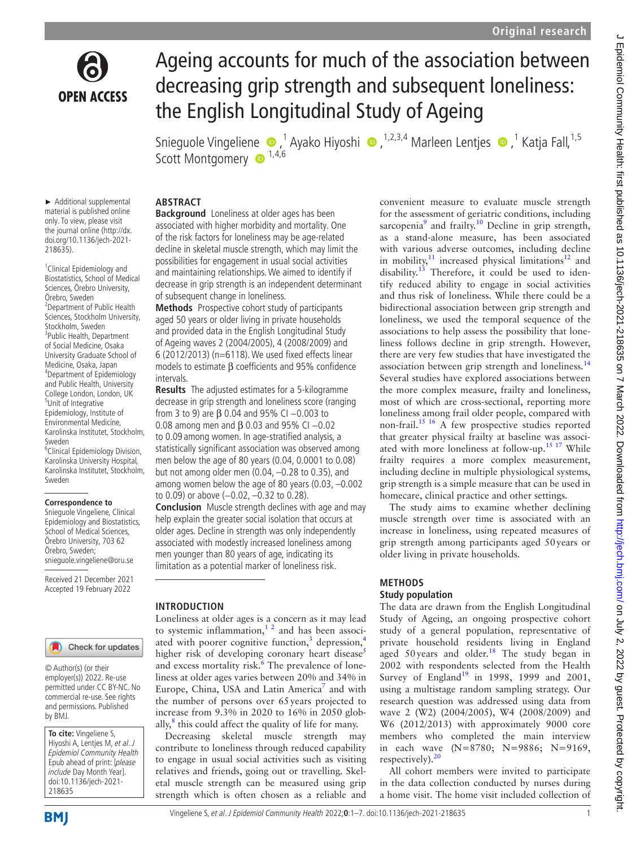

# Ageing accounts for much of the association between decreasing grip strength and subsequent loneliness: the English Longitudinal Study of Ageing

SnieguoleVingeliene ®,<sup>1</sup> Ayako Hiyoshi ®,<sup>1,2,3,4</sup> Marleen Lentjes ®,<sup>1</sup> Katja Fall,<sup>1,5</sup> Scott Montgomery  $\bullet$  1,4,6

# **ABSTRACT**

► Additional supplemental material is published online only. To view, please visit the journal online [\(http://dx.](http://dx.doi.org/10.1136/jech-2021-218635) [doi.org/10.1136/jech-2021-](http://dx.doi.org/10.1136/jech-2021-218635) [218635](http://dx.doi.org/10.1136/jech-2021-218635)).

<sup>1</sup> Clinical Epidemiology and Biostatistics, School of Medical Sciences, Örebro University, Örebro, Sweden <sup>2</sup> Department of Public Health Sciences, Stockholm University, Stockholm, Sweden <sup>3</sup>Public Health, Department of Social Medicine, Osaka University Graduate School of Medicine, Osaka, Japan 4 Department of Epidemiology and Public Health, University College London, London, UK 5 Unit of Integrative Epidemiology, Institute of Environmental Medicine, Karolinska Institutet, Stockholm, Sweden 6 Clinical Epidemiology Division,

Karolinska University Hospital, Karolinska Institutet, Stockholm, Sweden

#### **Correspondence to**

Snieguole Vingeliene, Clinical Epidemiology and Biostatistics, School of Medical Sciences, Örebro University, 703 62 Örebro, Sweden; snieguole.vingeliene@oru.se

Received 21 December 2021 Accepted 19 February 2022

#### Check for updates

© Author(s) (or their employer(s)) 2022. Re-use permitted under CC BY-NC. No commercial re-use. See rights and permissions. Published by BMJ.

**To cite:** Vingeliene S, Hiyoshi A, Lentjes M, et al. J Epidemiol Community Health Epub ahead of print: [please include Day Month Year]. doi:10.1136/jech-2021- 218635

**Background** Loneliness at older ages has been associated with higher morbidity and mortality. One of the risk factors for loneliness may be age-related decline in skeletal muscle strength, which may limit the possibilities for engagement in usual social activities and maintaining relationships. We aimed to identify if decrease in grip strength is an independent determinant of subsequent change in loneliness.

**Methods** Prospective cohort study of participants aged 50 years or older living in private households and provided data in the English Longitudinal Study of Ageing waves 2 (2004/2005), 4 (2008/2009) and 6 (2012/2013) (n=6118). We used fixed effects linear models to estimate β coefficients and 95% confidence intervals.

**Results** The adjusted estimates for a 5-kilogramme decrease in grip strength and loneliness score (ranging from 3 to 9) are  $\beta$  0.04 and 95% CI -0.003 to 0.08 among men and  $\beta$  0.03 and 95% CI -0.02 to 0.09 among women. In age-stratified analysis, a statistically significant association was observed among men below the age of 80 years (0.04, 0.0001 to 0.08) but not among older men (0.04, –0.28 to 0.35), and among women below the age of 80 years (0.03, –0.002 to 0.09) or above (-0.02, -0.32 to 0.28).

**Conclusion** Muscle strength declines with age and may help explain the greater social isolation that occurs at older ages. Decline in strength was only independently associated with modestly increased loneliness among men younger than 80 years of age, indicating its limitation as a potential marker of loneliness risk.

#### **INTRODUCTION**

Loneliness at older ages is a concern as it may lead to systemic inflammation, $1<sup>2</sup>$  and has been associ-ated with poorer cognitive function,<sup>[3](#page-5-1)</sup> depression,<sup>[4](#page-5-2)</sup> higher risk of developing coronary heart disease<sup>[5](#page-5-3)</sup> and excess mortality risk.<sup>6</sup> The prevalence of loneliness at older ages varies between 20% and 34% in Europe, China, USA and Latin America<sup>[7](#page-5-5)</sup> and with the number of persons over 65years projected to increase from 9.3% in 2020 to 16% in 2050 globally, $^8$  $^8$  this could affect the quality of life for many.

Decreasing skeletal muscle strength may contribute to loneliness through reduced capability to engage in usual social activities such as visiting relatives and friends, going out or travelling. Skeletal muscle strength can be measured using grip strength which is often chosen as a reliable and convenient measure to evaluate muscle strength for the assessment of geriatric conditions, including sarcopenia<sup>[9](#page-5-7)</sup> and frailty.<sup>10</sup> Decline in grip strength, as a stand-alone measure, has been associated with various adverse outcomes, including decline in mobility, $11$  increased physical limitations $12$  and disability.<sup>13</sup> Therefore, it could be used to identify reduced ability to engage in social activities and thus risk of loneliness. While there could be a bidirectional association between grip strength and loneliness, we used the temporal sequence of the associations to help assess the possibility that loneliness follows decline in grip strength. However, there are very few studies that have investigated the association between grip strength and loneliness.<sup>[14](#page-5-12)</sup> Several studies have explored associations between the more complex measure, frailty and loneliness, most of which are cross-sectional, reporting more loneliness among frail older people, compared with non-frail.[15 16](#page-5-13) A few prospective studies reported that greater physical frailty at baseline was associated with more loneliness at follow-up[.15 17](#page-5-13) While frailty requires a more complex measurement, including decline in multiple physiological systems, grip strength is a simple measure that can be used in homecare, clinical practice and other settings.

The study aims to examine whether declining muscle strength over time is associated with an increase in loneliness, using repeated measures of grip strength among participants aged 50years or older living in private households.

## **METHODS**

#### **Study population**

The data are drawn from the English Longitudinal Study of Ageing, an ongoing prospective cohort study of a general population, representative of private household residents living in England aged  $50$  years and older.<sup>18</sup> The study began in 2002 with respondents selected from the Health Survey of England<sup>19</sup> in 1998, 1999 and 2001, using a multistage random sampling strategy. Our research question was addressed using data from wave 2 (W2) (2004/2005), W4 (2008/2009) and W6 (2012/2013) with approximately 9000 core members who completed the main interview in each wave (N=8780; N=9886; N=9169, respectively). $20$ 

All cohort members were invited to participate in the data collection conducted by nurses during a home visit. The home visit included collection of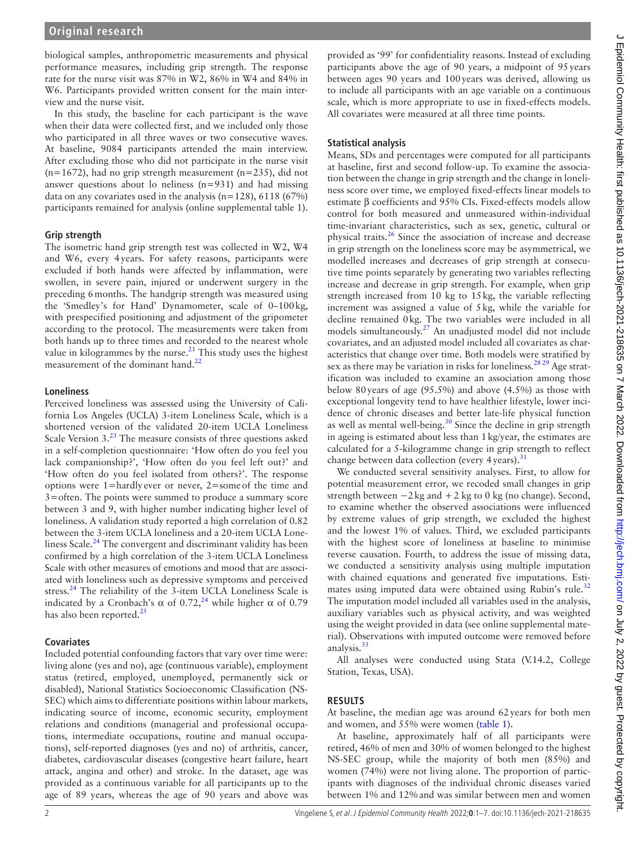biological samples, anthropometric measurements and physical performance measures, including grip strength. The response rate for the nurse visit was 87% in W2, 86% in W4 and 84% in W6. Participants provided written consent for the main interview and the nurse visit.

In this study, the baseline for each participant is the wave when their data were collected first, and we included only those who participated in all three waves or two consecutive waves. At baseline, 9084 participants attended the main interview. After excluding those who did not participate in the nurse visit  $(n=1672)$ , had no grip strength measurement  $(n=235)$ , did not answer questions about lo neliness (n=931) and had missing data on any covariates used in the analysis ( $n=128$ ), 6118 (67%) participants remained for analysis ([online supplemental table 1](https://dx.doi.org/10.1136/jech-2021-218635)).

## **Grip strength**

The isometric hand grip strength test was collected in W2, W4 and W6, every 4years. For safety reasons, participants were excluded if both hands were affected by inflammation, were swollen, in severe pain, injured or underwent surgery in the preceding 6months. The handgrip strength was measured using the 'Smedley's for Hand' Dynamometer, scale of 0–100kg, with prespecified positioning and adjustment of the gripometer according to the protocol. The measurements were taken from both hands up to three times and recorded to the nearest whole value in kilogrammes by the nurse. $^{21}$  This study uses the highest measurement of the dominant hand.<sup>[22](#page-5-18)</sup>

## **Loneliness**

Perceived loneliness was assessed using the University of California Los Angeles (UCLA) 3-item Loneliness Scale, which is a shortened version of the validated 20-item UCLA Loneliness Scale Version 3.<sup>[23](#page-5-19)</sup> The measure consists of three questions asked in a self-completion questionnaire: 'How often do you feel you lack companionship?', 'How often do you feel left out?' and 'How often do you feel isolated from others?'. The response options were 1=hardly ever or never, 2=someof the time and 3=often. The points were summed to produce a summary score between 3 and 9, with higher number indicating higher level of loneliness. A validation study reported a high correlation of 0.82 between the 3-item UCLA loneliness and a 20-item UCLA Loneliness Scale. $^{24}$  The convergent and discriminant validity has been confirmed by a high correlation of the 3-item UCLA Loneliness Scale with other measures of emotions and mood that are associated with loneliness such as depressive symptoms and perceived stress.<sup>24</sup> The reliability of the 3-item UCLA Loneliness Scale is indicated by a Cronbach's  $\alpha$  of 0.72,<sup>24</sup> while higher  $\alpha$  of 0.79 has also been reported. $25$ 

## **Covariates**

Included potential confounding factors that vary over time were: living alone (yes and no), age (continuous variable), employment status (retired, employed, unemployed, permanently sick or disabled), National Statistics Socioeconomic Classification (NS-SEC) which aims to differentiate positions within labour markets, indicating source of income, economic security, employment relations and conditions (managerial and professional occupations, intermediate occupations, routine and manual occupations), self-reported diagnoses (yes and no) of arthritis, cancer, diabetes, cardiovascular diseases (congestive heart failure, heart attack, angina and other) and stroke. In the dataset, age was provided as a continuous variable for all participants up to the age of 89 years, whereas the age of 90 years and above was

provided as '99' for confidentiality reasons. Instead of excluding participants above the age of 90 years, a midpoint of 95years between ages 90 years and 100years was derived, allowing us to include all participants with an age variable on a continuous scale, which is more appropriate to use in fixed-effects models. All covariates were measured at all three time points.

# **Statistical analysis**

Means, SDs and percentages were computed for all participants at baseline, first and second follow-up. To examine the association between the change in grip strength and the change in loneliness score over time, we employed fixed-effects linear models to estimate β coefficients and 95% CIs. Fixed-effects models allow control for both measured and unmeasured within-individual time-invariant characteristics, such as sex, genetic, cultural or physical traits.<sup>26</sup> Since the association of increase and decrease in grip strength on the loneliness score may be asymmetrical, we modelled increases and decreases of grip strength at consecutive time points separately by generating two variables reflecting increase and decrease in grip strength. For example, when grip strength increased from 10 kg to 15kg, the variable reflecting increment was assigned a value of 5kg, while the variable for decline remained 0kg. The two variables were included in all models simultaneously[.27](#page-5-23) An unadjusted model did not include covariates, and an adjusted model included all covariates as characteristics that change over time. Both models were stratified by sex as there may be variation in risks for loneliness.<sup>28 29</sup> Age stratification was included to examine an association among those below 80years of age (95.5%) and above (4.5%) as those with exceptional longevity tend to have healthier lifestyle, lower incidence of chronic diseases and better late-life physical function as well as mental well-being. $30$  Since the decline in grip strength in ageing is estimated about less than 1kg/year, the estimates are calculated for a 5-kilogramme change in grip strength to reflect change between data collection (every  $4$  years).<sup>[31](#page-6-1)</sup>

We conducted several sensitivity analyses. First, to allow for potential measurement error, we recoded small changes in grip strength between  $-2$  kg and  $+2$  kg to 0 kg (no change). Second, to examine whether the observed associations were influenced by extreme values of grip strength, we excluded the highest and the lowest 1% of values. Third, we excluded participants with the highest score of loneliness at baseline to minimise reverse causation. Fourth, to address the issue of missing data, we conducted a sensitivity analysis using multiple imputation with chained equations and generated five imputations. Esti-mates using imputed data were obtained using Rubin's rule.<sup>[32](#page-6-2)</sup> The imputation model included all variables used in the analysis, auxiliary variables such as physical activity, and was weighted using the weight provided in data (see [online supplemental mate](https://dx.doi.org/10.1136/jech-2021-218635)[rial](https://dx.doi.org/10.1136/jech-2021-218635)). Observations with imputed outcome were removed before analysis.<sup>[33](#page-6-3)</sup>

All analyses were conducted using Stata (V.14.2, College Station, Texas, USA).

## **RESULTS**

At baseline, the median age was around 62years for both men and women, and 55% were women [\(table](#page-2-0) 1).

At baseline, approximately half of all participants were retired, 46% of men and 30% of women belonged to the highest NS-SEC group, while the majority of both men (85%) and women (74%) were not living alone. The proportion of participants with diagnoses of the individual chronic diseases varied between 1% and 12%and was similar between men and women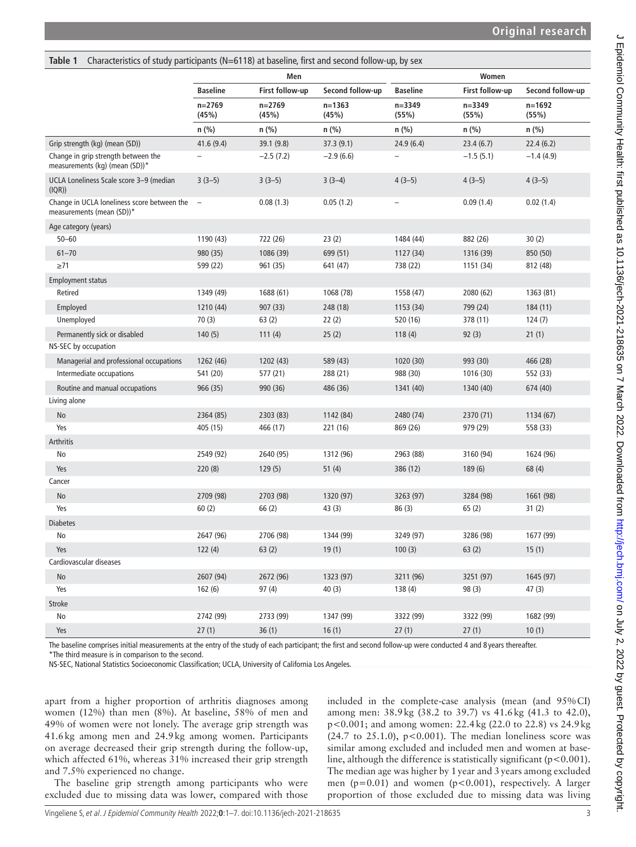<span id="page-2-0"></span>

| Characteristics of study participants (N=6118) at baseline, first and second follow-up, by sex<br>Table 1 |                                 |                     |                     |                     |                     |                     |  |
|-----------------------------------------------------------------------------------------------------------|---------------------------------|---------------------|---------------------|---------------------|---------------------|---------------------|--|
|                                                                                                           |                                 | Men                 |                     | Women               |                     |                     |  |
|                                                                                                           | <b>Baseline</b>                 | First follow-up     | Second follow-up    | <b>Baseline</b>     | First follow-up     | Second follow-up    |  |
|                                                                                                           | $n = 2769$<br>(45%)             | $n = 2769$<br>(45%) | $n = 1363$<br>(45%) | $n = 3349$<br>(55%) | $n = 3349$<br>(55%) | $n = 1692$<br>(55%) |  |
|                                                                                                           | n (%)                           | $n$ (%)             | n (%)               | n (%)               | $n$ (%)             | $n$ (%)             |  |
| Grip strength (kg) (mean (SD))                                                                            | 41.6(9.4)                       | 39.1 (9.8)          | 37.3 (9.1)          | 24.9(6.4)           | 23.4(6.7)           | 22.4(6.2)           |  |
| Change in grip strength between the<br>measurements (kg) (mean (SD))*                                     |                                 | $-2.5(7.2)$         | $-2.9(6.6)$         |                     | $-1.5(5.1)$         | $-1.4(4.9)$         |  |
| UCLA Loneliness Scale score 3-9 (median<br>(IQR))                                                         | $3(3-5)$                        | $3(3-5)$            | $3(3-4)$            | $4(3-5)$            | $4(3-5)$            | $4(3-5)$            |  |
| Change in UCLA loneliness score between the<br>measurements (mean (SD))*                                  | $\hspace{0.1mm}-\hspace{0.1mm}$ | 0.08(1.3)           | 0.05(1.2)           | -                   | 0.09(1.4)           | 0.02(1.4)           |  |
| Age category (years)                                                                                      |                                 |                     |                     |                     |                     |                     |  |
| $50 - 60$                                                                                                 | 1190 (43)                       | 722 (26)            | 23(2)               | 1484 (44)           | 882 (26)            | 30(2)               |  |
| $61 - 70$                                                                                                 | 980 (35)                        | 1086 (39)           | 699 (51)            | 1127 (34)           | 1316 (39)           | 850 (50)            |  |
| $\geq 71$                                                                                                 | 599 (22)                        | 961 (35)            | 641 (47)            | 738 (22)            | 1151 (34)           | 812 (48)            |  |
| <b>Employment status</b>                                                                                  |                                 |                     |                     |                     |                     |                     |  |
| Retired                                                                                                   | 1349 (49)                       | 1688 (61)           | 1068 (78)           | 1558 (47)           | 2080 (62)           | 1363 (81)           |  |
| Employed                                                                                                  | 1210 (44)                       | 907 (33)            | 248 (18)            | 1153 (34)           | 799 (24)            | 184(11)             |  |
| Unemployed                                                                                                | 70(3)                           | 63(2)               | 22(2)               | 520 (16)            | 378 (11)            | 124(7)              |  |
| Permanently sick or disabled                                                                              | 140(5)                          | 111(4)              | 25(2)               | 118(4)              | 92(3)               | 21(1)               |  |
| NS-SEC by occupation                                                                                      |                                 |                     |                     |                     |                     |                     |  |
| Managerial and professional occupations                                                                   | 1262 (46)                       | 1202 (43)           | 589 (43)            | 1020 (30)           | 993 (30)            | 466 (28)            |  |
| Intermediate occupations                                                                                  | 541 (20)                        | 577 (21)            | 288 (21)            | 988 (30)            | 1016 (30)           | 552 (33)            |  |
| Routine and manual occupations                                                                            | 966 (35)                        | 990 (36)            | 486 (36)            | 1341 (40)           | 1340 (40)           | 674 (40)            |  |
| Living alone                                                                                              |                                 |                     |                     |                     |                     |                     |  |
| No                                                                                                        | 2364 (85)                       | 2303 (83)           | 1142 (84)           | 2480 (74)           | 2370 (71)           | 1134 (67)           |  |
| Yes                                                                                                       | 405 (15)                        | 466 (17)            | 221 (16)            | 869 (26)            | 979 (29)            | 558 (33)            |  |
| Arthritis                                                                                                 |                                 |                     |                     |                     |                     |                     |  |
| No                                                                                                        | 2549 (92)                       | 2640 (95)           | 1312 (96)           | 2963 (88)           | 3160 (94)           | 1624 (96)           |  |
| Yes                                                                                                       | 220(8)                          | 129(5)              | 51(4)               | 386 (12)            | 189(6)              | 68 (4)              |  |
| Cancer                                                                                                    |                                 |                     |                     |                     |                     |                     |  |
| No                                                                                                        | 2709 (98)                       | 2703 (98)           | 1320 (97)           | 3263 (97)           | 3284 (98)           | 1661 (98)           |  |
| Yes                                                                                                       | 60(2)                           | 66(2)               | 43(3)               | 86(3)               | 65(2)               | 31(2)               |  |
| <b>Diabetes</b>                                                                                           |                                 |                     |                     |                     |                     |                     |  |
| No                                                                                                        | 2647 (96)                       | 2706 (98)           | 1344 (99)           | 3249 (97)           | 3286 (98)           | 1677 (99)           |  |
| Yes                                                                                                       | 122(4)                          | 63(2)               | 19(1)               | 100(3)              | 63(2)               | 15(1)               |  |
| Cardiovascular diseases                                                                                   |                                 |                     |                     |                     |                     |                     |  |
| No                                                                                                        | 2607 (94)                       | 2672 (96)           | 1323 (97)           | 3211 (96)           | 3251 (97)           | 1645 (97)           |  |
| Yes                                                                                                       | 162(6)                          | 97(4)               | 40(3)               | 138(4)              | 98(3)               | 47(3)               |  |
| <b>Stroke</b>                                                                                             |                                 |                     |                     |                     |                     |                     |  |
| No                                                                                                        | 2742 (99)                       | 2733 (99)           | 1347 (99)           | 3322 (99)           | 3322 (99)           | 1682 (99)           |  |
| Yes                                                                                                       | 27(1)                           | 36(1)               | 16(1)               | 27(1)               | 27(1)               | 10(1)               |  |
|                                                                                                           |                                 |                     |                     |                     |                     |                     |  |

The baseline comprises initial measurements at the entry of the study of each participant; the first and second follow-up were conducted 4 and 8 years thereafter. \*The third measure is in comparison to the second.

NS-SEC, National Statistics Socioeconomic Classification; UCLA, University of California Los Angeles.

apart from a higher proportion of arthritis diagnoses among women (12%) than men (8%). At baseline, 58% of men and 49% of women were not lonely. The average grip strength was 41.6kg among men and 24.9kg among women. Participants on average decreased their grip strength during the follow-up, which affected 61%, whereas 31% increased their grip strength and 7.5% experienced no change.

included in the complete-case analysis (mean (and 95%CI) among men: 38.9kg (38.2 to 39.7) vs 41.6kg (41.3 to 42.0), p<0.001; and among women: 22.4kg (22.0 to 22.8) vs 24.9kg  $(24.7 \text{ to } 25.1.0)$ , p<0.001). The median loneliness score was similar among excluded and included men and women at baseline, although the difference is statistically significant ( $p < 0.001$ ). The median age was higher by 1year and 3years among excluded men (p=0.01) and women (p<0.001), respectively. A larger proportion of those excluded due to missing data was living

The baseline grip strength among participants who were excluded due to missing data was lower, compared with those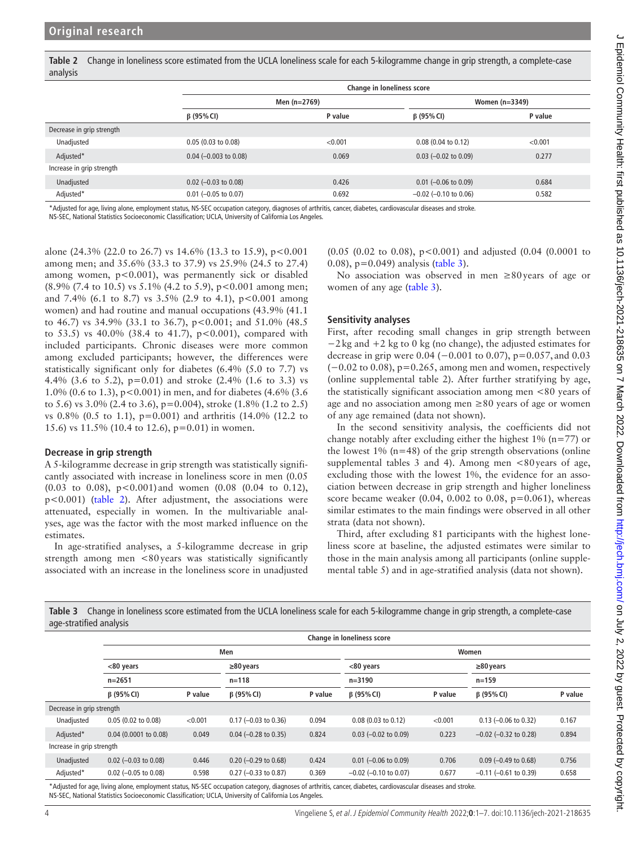Γ

<span id="page-3-0"></span>**Table 2** Change in loneliness score estimated from the UCLA loneliness scale for each 5-kilogramme change in grip strength, a complete-case analysis

|                           | <b>Change in loneliness score</b> |              |                            |                |  |  |
|---------------------------|-----------------------------------|--------------|----------------------------|----------------|--|--|
|                           |                                   | Men (n=2769) |                            | Women (n=3349) |  |  |
|                           | $\beta$ (95% CI)                  | P value      | $\beta$ (95% CI)           | P value        |  |  |
| Decrease in grip strength |                                   |              |                            |                |  |  |
| Unadjusted                | $0.05$ (0.03 to 0.08)             | < 0.001      | $0.08$ (0.04 to 0.12)      | < 0.001        |  |  |
| Adjusted*                 | $0.04 (-0.003 \text{ to } 0.08)$  | 0.069        | $0.03$ (-0.02 to 0.09)     | 0.277          |  |  |
| Increase in grip strength |                                   |              |                            |                |  |  |
| Unadjusted                | $0.02$ (-0.03 to 0.08)            | 0.426        | $0.01$ (-0.06 to 0.09)     | 0.684          |  |  |
| Adjusted*                 | $0.01$ (-0.05 to 0.07)            | 0.692        | $-0.02$ ( $-0.10$ to 0.06) | 0.582          |  |  |

\*Adjusted for age, living alone, employment status, NS-SEC occupation category, diagnoses of arthritis, cancer, diabetes, cardiovascular diseases and stroke.

NS-SEC, National Statistics Socioeconomic Classification; UCLA, University of California Los Angeles.

alone (24.3% (22.0 to 26.7) vs 14.6% (13.3 to 15.9),  $p < 0.001$ among men; and 35.6% (33.3 to 37.9) vs 25.9% (24.5 to 27.4) among women, p<0.001), was permanently sick or disabled (8.9% (7.4 to 10.5) vs 5.1% (4.2 to 5.9), p<0.001 among men; and 7.4% (6.1 to 8.7) vs  $3.5\%$  (2.9 to 4.1), p<0.001 among women) and had routine and manual occupations (43.9% (41.1 to 46.7) vs 34.9% (33.1 to 36.7), p<0.001; and 51.0% (48.5 to 53.5) vs 40.0% (38.4 to 41.7),  $p<0.001$ ), compared with included participants. Chronic diseases were more common among excluded participants; however, the differences were statistically significant only for diabetes (6.4% (5.0 to 7.7) vs 4.4% (3.6 to 5.2), p=0.01) and stroke (2.4% (1.6 to 3.3) vs 1.0% (0.6 to 1.3), p<0.001) in men, and for diabetes (4.6% (3.6 to 5.6) vs 3.0% (2.4 to 3.6), p=0.004), stroke (1.8% (1.2 to 2.5) vs 0.8% (0.5 to 1.1), p=0.001) and arthritis (14.0% (12.2 to 15.6) vs 11.5% (10.4 to 12.6), p=0.01) in women.

### **Decrease in grip strength**

A 5-kilogramme decrease in grip strength was statistically significantly associated with increase in loneliness score in men (0.05  $(0.03 \text{ to } 0.08)$ , p<0.001) and women  $(0.08 \text{ (}0.04 \text{ to } 0.12)$ , p<0.001) [\(table](#page-3-0) 2). After adjustment, the associations were attenuated, especially in women. In the multivariable analyses, age was the factor with the most marked influence on the estimates.

In age-stratified analyses, a 5-kilogramme decrease in grip strength among men <80years was statistically significantly associated with an increase in the loneliness score in unadjusted

(0.05 (0.02 to 0.08), p<0.001) and adjusted (0.04 (0.0001 to 0.08), p=0.049) analysis ([table](#page-3-1) 3).

No association was observed in men  $\geq 80$  years of age or women of any age ([table](#page-3-1) 3).

## **Sensitivity analyses**

First, after recoding small changes in grip strength between −2kg and +2 kg to 0 kg (no change), the adjusted estimates for decrease in grip were  $0.04$  ( $-0.001$  to  $0.07$ ), p= $0.057$ , and  $0.03$ (−0.02 to 0.08), p=0.265, among men and women, respectively ([online supplemental table 2\)](https://dx.doi.org/10.1136/jech-2021-218635). After further stratifying by age, the statistically significant association among men <80 years of age and no association among men  $\geq 80$  years of age or women of any age remained (data not shown).

In the second sensitivity analysis, the coefficients did not change notably after excluding either the highest  $1\%$  (n=77) or the lowest  $1\%$  (n=48) of the grip strength observations [\(online](https://dx.doi.org/10.1136/jech-2021-218635) supplemental tables  $3$  and  $4$ ). Among men <80 years of age, excluding those with the lowest 1%, the evidence for an association between decrease in grip strength and higher loneliness score became weaker (0.04, 0.002 to 0.08,  $p=0.061$ ), whereas similar estimates to the main findings were observed in all other strata (data not shown).

Third, after excluding 81 participants with the highest loneliness score at baseline, the adjusted estimates were similar to those in the main analysis among all participants ([online supple](https://dx.doi.org/10.1136/jech-2021-218635)[mental table 5\)](https://dx.doi.org/10.1136/jech-2021-218635) and in age-stratified analysis (data not shown).

<span id="page-3-1"></span>

| Table 3 Change in loneliness score estimated from the UCLA loneliness scale for each 5-kilogramme change in grip strength, a complete-case |
|--------------------------------------------------------------------------------------------------------------------------------------------|
| age-stratified analysis                                                                                                                    |

|                           | <b>Change in loneliness score</b> |         |                              |         |                            |         |                              |         |  |
|---------------------------|-----------------------------------|---------|------------------------------|---------|----------------------------|---------|------------------------------|---------|--|
|                           | Men                               |         |                              |         | Women                      |         |                              |         |  |
|                           | <80 years<br>$n = 2651$           |         | $\geq$ 80 years<br>$n = 118$ |         | <80 years<br>$n = 3190$    |         | $\geq$ 80 years<br>$n = 159$ |         |  |
|                           |                                   |         |                              |         |                            |         |                              |         |  |
|                           | $\beta$ (95% CI)                  | P value | $\beta$ (95% CI)             | P value | $\beta$ (95% CI)           | P value | $\beta$ (95% CI)             | P value |  |
| Decrease in grip strength |                                   |         |                              |         |                            |         |                              |         |  |
| Unadjusted                | $0.05$ (0.02 to 0.08)             | < 0.001 | $0.17$ (-0.03 to 0.36)       | 0.094   | 0.08(0.03 to 0.12)         | < 0.001 | $0.13$ (-0.06 to 0.32)       | 0.167   |  |
| Adjusted*                 | $0.04$ (0.0001 to 0.08)           | 0.049   | $0.04$ (-0.28 to 0.35)       | 0.824   | $0.03$ (-0.02 to 0.09)     | 0.223   | $-0.02$ ( $-0.32$ to 0.28)   | 0.894   |  |
| Increase in grip strength |                                   |         |                              |         |                            |         |                              |         |  |
| Unadjusted                | $0.02$ (-0.03 to 0.08)            | 0.446   | $0.20$ (-0.29 to 0.68)       | 0.424   | $0.01$ (-0.06 to 0.09)     | 0.706   | $0.09$ (-0.49 to 0.68)       | 0.756   |  |
| Adjusted*                 | $0.02$ (-0.05 to 0.08)            | 0.598   | $0.27$ (-0.33 to 0.87)       | 0.369   | $-0.02$ ( $-0.10$ to 0.07) | 0.677   | $-0.11$ ( $-0.61$ to 0.39)   | 0.658   |  |

\*Adjusted for age, living alone, employment status, NS-SEC occupation category, diagnoses of arthritis, cancer, diabetes, cardiovascular diseases and stroke. NS-SEC, National Statistics Socioeconomic Classification; UCLA, University of California Los Angeles.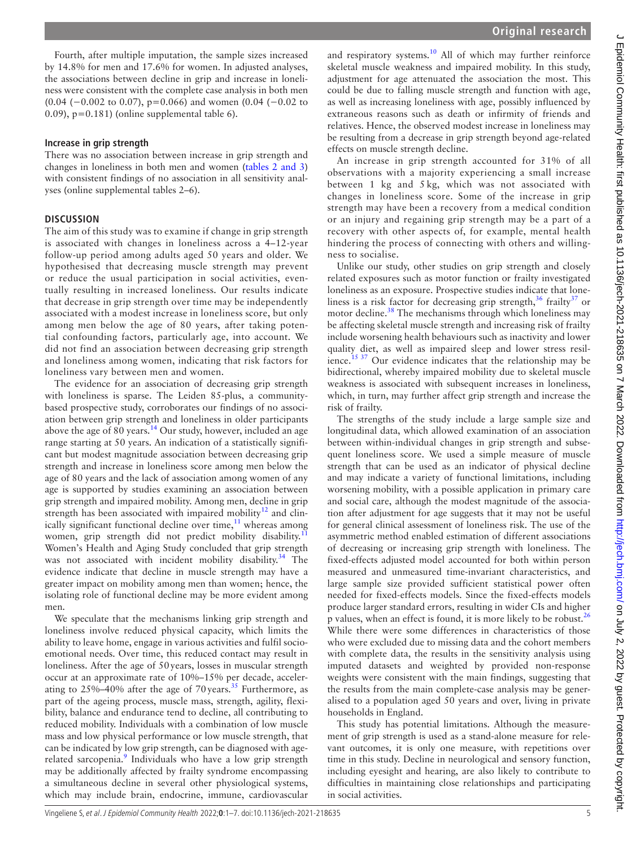Fourth, after multiple imputation, the sample sizes increased by 14.8% for men and 17.6% for women. In adjusted analyses, the associations between decline in grip and increase in loneliness were consistent with the complete case analysis in both men (0.04 (−0.002 to 0.07), p=0.066) and women (0.04 (−0.02 to 0.09), p=0.181) [\(online supplemental table 6\)](https://dx.doi.org/10.1136/jech-2021-218635).

## **Increase in grip strength**

There was no association between increase in grip strength and changes in loneliness in both men and women (tables [2 and 3\)](#page-3-0) with consistent findings of no association in all sensitivity analyses ([online supplemental tables 2–6](https://dx.doi.org/10.1136/jech-2021-218635)).

## **DISCUSSION**

The aim of this study was to examine if change in grip strength is associated with changes in loneliness across a 4–12-year follow-up period among adults aged 50 years and older. We hypothesised that decreasing muscle strength may prevent or reduce the usual participation in social activities, eventually resulting in increased loneliness. Our results indicate that decrease in grip strength over time may be independently associated with a modest increase in loneliness score, but only among men below the age of 80 years, after taking potential confounding factors, particularly age, into account. We did not find an association between decreasing grip strength and loneliness among women, indicating that risk factors for loneliness vary between men and women.

The evidence for an association of decreasing grip strength with loneliness is sparse. The Leiden 85-plus, a communitybased prospective study, corroborates our findings of no association between grip strength and loneliness in older participants above the age of 80 years. $14$  Our study, however, included an age range starting at 50 years. An indication of a statistically significant but modest magnitude association between decreasing grip strength and increase in loneliness score among men below the age of 80 years and the lack of association among women of any age is supported by studies examining an association between grip strength and impaired mobility. Among men, decline in grip strength has been associated with impaired mobility<sup>[12](#page-5-10)</sup> and clinically significant functional decline over time, $11$  whereas among women, grip strength did not predict mobility disability.<sup>[11](#page-5-9)</sup> Women's Health and Aging Study concluded that grip strength was not associated with incident mobility disability.<sup>[34](#page-6-4)</sup> The evidence indicate that decline in muscle strength may have a greater impact on mobility among men than women; hence, the isolating role of functional decline may be more evident among men.

We speculate that the mechanisms linking grip strength and loneliness involve reduced physical capacity, which limits the ability to leave home, engage in various activities and fulfil socioemotional needs. Over time, this reduced contact may result in loneliness. After the age of 50years, losses in muscular strength occur at an approximate rate of 10%–15% per decade, accelerating to  $25\% - 40\%$  after the age of 70 years.<sup>[35](#page-6-5)</sup> Furthermore, as part of the ageing process, muscle mass, strength, agility, flexibility, balance and endurance tend to decline, all contributing to reduced mobility. Individuals with a combination of low muscle mass and low physical performance or low muscle strength, that can be indicated by low grip strength, can be diagnosed with age-related sarcopenia.<sup>[9](#page-5-7)</sup> Individuals who have a low grip strength may be additionally affected by frailty syndrome encompassing a simultaneous decline in several other physiological systems, which may include brain, endocrine, immune, cardiovascular

and respiratory systems. $10$  All of which may further reinforce skeletal muscle weakness and impaired mobility. In this study, adjustment for age attenuated the association the most. This could be due to falling muscle strength and function with age, as well as increasing loneliness with age, possibly influenced by extraneous reasons such as death or infirmity of friends and relatives. Hence, the observed modest increase in loneliness may be resulting from a decrease in grip strength beyond age-related effects on muscle strength decline.

An increase in grip strength accounted for 31% of all observations with a majority experiencing a small increase between 1 kg and 5 kg, which was not associated with changes in loneliness score. Some of the increase in grip strength may have been a recovery from a medical condition or an injury and regaining grip strength may be a part of a recovery with other aspects of, for example, mental health hindering the process of connecting with others and willingness to socialise.

Unlike our study, other studies on grip strength and closely related exposures such as motor function or frailty investigated loneliness as an exposure. Prospective studies indicate that loneliness is a risk factor for decreasing grip strength,  $36$  frailty  $37$  or motor decline.<sup>[38](#page-6-8)</sup> The mechanisms through which loneliness may be affecting skeletal muscle strength and increasing risk of frailty include worsening health behaviours such as inactivity and lower quality diet, as well as impaired sleep and lower stress resilience.<sup>15 37</sup> Our evidence indicates that the relationship may be bidirectional, whereby impaired mobility due to skeletal muscle weakness is associated with subsequent increases in loneliness, which, in turn, may further affect grip strength and increase the risk of frailty.

The strengths of the study include a large sample size and longitudinal data, which allowed examination of an association between within-individual changes in grip strength and subsequent loneliness score. We used a simple measure of muscle strength that can be used as an indicator of physical decline and may indicate a variety of functional limitations, including worsening mobility, with a possible application in primary care and social care, although the modest magnitude of the association after adjustment for age suggests that it may not be useful for general clinical assessment of loneliness risk. The use of the asymmetric method enabled estimation of different associations of decreasing or increasing grip strength with loneliness. The fixed-effects adjusted model accounted for both within person measured and unmeasured time-invariant characteristics, and large sample size provided sufficient statistical power often needed for fixed-effects models. Since the fixed-effects models produce larger standard errors, resulting in wider CIs and higher p values, when an effect is found, it is more likely to be robust. $^{26}$  $^{26}$  $^{26}$ While there were some differences in characteristics of those who were excluded due to missing data and the cohort members with complete data, the results in the sensitivity analysis using imputed datasets and weighted by provided non-response weights were consistent with the main findings, suggesting that the results from the main complete-case analysis may be generalised to a population aged 50 years and over, living in private households in England.

This study has potential limitations. Although the measurement of grip strength is used as a stand-alone measure for relevant outcomes, it is only one measure, with repetitions over time in this study. Decline in neurological and sensory function, including eyesight and hearing, are also likely to contribute to difficulties in maintaining close relationships and participating in social activities.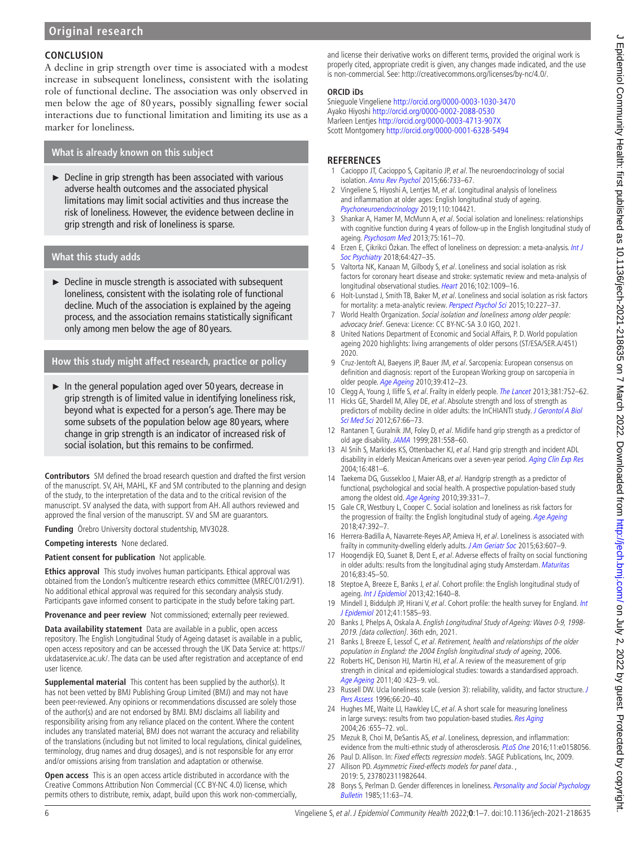## **CONCLUSION**

A decline in grip strength over time is associated with a modest increase in subsequent loneliness, consistent with the isolating role of functional decline. The association was only observed in men below the age of 80years, possibly signalling fewer social interactions due to functional limitation and limiting its use as a marker for loneliness.

# **What is already known on this subject**

 $\triangleright$  Decline in grip strength has been associated with various adverse health outcomes and the associated physical limitations may limit social activities and thus increase the risk of loneliness. However, the evidence between decline in grip strength and risk of loneliness is sparse.

## **What this study adds**

► Decline in muscle strength is associated with subsequent loneliness, consistent with the isolating role of functional decline. Much of the association is explained by the ageing process, and the association remains statistically significant only among men below the age of 80 years.

## **How this study might affect research, practice or policy**

 $\blacktriangleright$  In the general population aged over 50 years, decrease in grip strength is of limited value in identifying loneliness risk, beyond what is expected for a person's age. There may be some subsets of the population below age 80 years, where change in grip strength is an indicator of increased risk of social isolation, but this remains to be confirmed.

**Contributors** SM defined the broad research question and drafted the first version of the manuscript. SV, AH, MAHL, KF and SM contributed to the planning and design of the study, to the interpretation of the data and to the critical revision of the manuscript. SV analysed the data, with support from AH. All authors reviewed and approved the final version of the manuscript. SV and SM are guarantors.

**Funding** Örebro University doctoral studentship, MV3028.

**Competing interests** None declared.

**Patient consent for publication** Not applicable.

**Ethics approval** This study involves human participants. Ethical approval was obtained from the London's multicentre research ethics committee (MREC/01/2/91). No additional ethical approval was required for this secondary analysis study. Participants gave informed consent to participate in the study before taking part.

**Provenance and peer review** Not commissioned; externally peer reviewed.

**Data availability statement** Data are available in a public, open access repository. The English Longitudinal Study of Ageing dataset is available in a public, open access repository and can be accessed through the UK Data Service at: [https://](https://ukdataservice.ac.uk/) [ukdataservice.ac.uk/.](https://ukdataservice.ac.uk/) The data can be used after registration and acceptance of end user licence.

**Supplemental material** This content has been supplied by the author(s). It has not been vetted by BMJ Publishing Group Limited (BMJ) and may not have been peer-reviewed. Any opinions or recommendations discussed are solely those of the author(s) and are not endorsed by BMJ. BMJ disclaims all liability and responsibility arising from any reliance placed on the content. Where the content includes any translated material, BMJ does not warrant the accuracy and reliability of the translations (including but not limited to local regulations, clinical guidelines, terminology, drug names and drug dosages), and is not responsible for any error and/or omissions arising from translation and adaptation or otherwise.

**Open access** This is an open access article distributed in accordance with the Creative Commons Attribution Non Commercial (CC BY-NC 4.0) license, which permits others to distribute, remix, adapt, build upon this work non-commercially, and license their derivative works on different terms, provided the original work is properly cited, appropriate credit is given, any changes made indicated, and the use is non-commercial. See: [http://creativecommons.org/licenses/by-nc/4.0/.](http://creativecommons.org/licenses/by-nc/4.0/)

#### **ORCID iDs**

Snieguole Vingeliene <http://orcid.org/0000-0003-1030-3470> Ayako Hiyoshi<http://orcid.org/0000-0002-2088-0530> Marleen Lentjes <http://orcid.org/0000-0003-4713-907X> Scott Montgomery<http://orcid.org/0000-0001-6328-5494>

### **REFERENCES**

- <span id="page-5-0"></span>1 Cacioppo JT, Cacioppo S, Capitanio JP, et al. The neuroendocrinology of social isolation. [Annu Rev Psychol](http://dx.doi.org/10.1146/annurev-psych-010814-015240) 2015;66:733–67.
- 2 Vingeliene S, Hiyoshi A, Lentjes M, et al. Longitudinal analysis of loneliness and inflammation at older ages: English longitudinal study of ageing. [Psychoneuroendocrinology](http://dx.doi.org/10.1016/j.psyneuen.2019.104421) 2019;110:104421.
- <span id="page-5-1"></span>3 Shankar A, Hamer M, McMunn A, et al. Social isolation and loneliness: relationships with cognitive function during 4 years of follow-up in the English longitudinal study of ageing. [Psychosom Med](http://dx.doi.org/10.1097/PSY.0b013e31827f09cd) 2013;75:161–70.
- <span id="page-5-2"></span>4 Erzen E, Çikrikci Özkan. The effect of loneliness on depression: a meta-analysis. Int J [Soc Psychiatry](http://dx.doi.org/10.1177/0020764018776349) 2018;64:427–35.
- <span id="page-5-3"></span>5 Valtorta NK, Kanaan M, Gilbody S, et al. Loneliness and social isolation as risk factors for coronary heart disease and stroke: systematic review and meta-analysis of longitudinal observational studies. [Heart](http://dx.doi.org/10.1136/heartjnl-2015-308790) 2016;102:1009–16.
- <span id="page-5-4"></span>6 Holt-Lunstad J, Smith TB, Baker M, et al. Loneliness and social isolation as risk factors for mortality: a meta-analytic review. [Perspect Psychol Sci](http://dx.doi.org/10.1177/1745691614568352) 2015;10:227-37.
- <span id="page-5-5"></span>7 World Health Organization. Social isolation and loneliness among older people: advocacy brief. Geneva: Licence: CC BY-NC-SA 3.0 IGO, 2021.
- <span id="page-5-6"></span>8 United Nations Department of Economic and Social Affairs, P. D. World population ageing 2020 highlights: living arrangements of older persons (ST/ESA/SER.A/451) 2020.
- <span id="page-5-7"></span>9 Cruz-Jentoft AJ, Baeyens JP, Bauer JM, et al. Sarcopenia: European consensus on definition and diagnosis: report of the European Working group on sarcopenia in older people. [Age Ageing](http://dx.doi.org/10.1093/ageing/afq034) 2010;39:412–23.
- <span id="page-5-8"></span>10 Clegg A, Young J, Iliffe S, et al. Frailty in elderly people. [The Lancet](http://dx.doi.org/10.1016/S0140-6736(12)62167-9) 2013;381:752-62.
- <span id="page-5-9"></span>11 Hicks GE, Shardell M, Alley DE, et al. Absolute strength and loss of strength as predictors of mobility decline in older adults: the InCHIANTI study. J Gerontol A Biol [Sci Med Sci](http://dx.doi.org/10.1093/gerona/glr055) 2012;67:66–73.
- <span id="page-5-10"></span>12 Rantanen T, Guralnik JM, Foley D, et al. Midlife hand grip strength as a predictor of old age disability. [JAMA](http://dx.doi.org/10.1001/jama.281.6.558) 1999;281:558–60.
- <span id="page-5-11"></span>13 Al Snih S, Markides KS, Ottenbacher KJ, et al. Hand grip strength and incident ADL disability in elderly Mexican Americans over a seven-year period. [Aging Clin Exp Res](http://dx.doi.org/10.1007/BF03327406) 2004;16:481–6.
- <span id="page-5-12"></span>14 Taekema DG, Gussekloo J, Maier AB, et al. Handgrip strength as a predictor of functional, psychological and social health. A prospective population-based study among the oldest old. [Age Ageing](http://dx.doi.org/10.1093/ageing/afq022) 2010;39:331-7.
- <span id="page-5-13"></span>15 Gale CR, Westbury L, Cooper C. Social isolation and loneliness as risk factors for the progression of frailty: the English longitudinal study of ageing. [Age Ageing](http://dx.doi.org/10.1093/ageing/afx188) 2018;47:392–7.
- 16 Herrera-Badilla A, Navarrete-Reyes AP, Amieva H, et al. Loneliness is associated with frailty in community-dwelling elderly adults. [J Am Geriatr Soc](http://dx.doi.org/10.1111/jgs.13308) 2015;63:607-9.
- 17 Hoogendijk EO, Suanet B, Dent E, et al. Adverse effects of frailty on social functioning in older adults: results from the longitudinal aging study Amsterdam. [Maturitas](http://dx.doi.org/10.1016/j.maturitas.2015.09.002) 2016;83:45–50.
- <span id="page-5-14"></span>18 Steptoe A, Breeze E, Banks J, et al. Cohort profile: the English longitudinal study of ageing. [Int J Epidemiol](http://dx.doi.org/10.1093/ije/dys168) 2013:42:1640-8.
- <span id="page-5-15"></span>19 Mindell J, Biddulph JP, Hirani V, et al. Cohort profile: the health survey for England. Int [J Epidemiol](http://dx.doi.org/10.1093/ije/dyr199) 2012;41:1585–93.
- <span id="page-5-16"></span>20 Banks J, Phelps A, Oskala A. English Longitudinal Study of Ageing: Waves 0-9, 1998- 2019. [data collection]. 36th edn, 2021.
- <span id="page-5-17"></span>21 Banks J, Breeze E, Lessof C, et al. Retirement, health and relationships of the older population in England: the 2004 English longitudinal study of ageing, 2006.
- <span id="page-5-18"></span>22 Roberts HC, Denison HJ, Martin HJ, et al. A review of the measurement of grip strength in clinical and epidemiological studies: towards a standardised approach. [Age Ageing](http://dx.doi.org/10.1093/ageing/afr051) 2011;40 :423-9. vol..
- <span id="page-5-19"></span>23 Russell DW. Ucla loneliness scale (version 3): reliability, validity, and factor structure. J [Pers Assess](http://dx.doi.org/10.1207/s15327752jpa6601_2) 1996;66:20-40.
- <span id="page-5-20"></span>24 Hughes ME, Waite LJ, Hawkley LC, et al. A short scale for measuring loneliness in large surveys: results from two population-based studies. [Res Aging](http://dx.doi.org/10.1177/0164027504268574) 2004;26 :655–72. vol..
- <span id="page-5-21"></span>25 Mezuk B, Choi M, DeSantis AS, et al. Loneliness, depression, and inflammation: evidence from the multi-ethnic study of atherosclerosis. [PLoS One](http://dx.doi.org/10.1371/journal.pone.0158056) 2016;11:e0158056.
- <span id="page-5-22"></span>26 Paul D. Allison. In: Fixed effects regression models. SAGE Publications, Inc, 2009.
- <span id="page-5-23"></span>27 Allison PD. Asymmetric Fixed-effects models for panel data. , 2019: 5, 237802311982644.
- <span id="page-5-24"></span>28 Borys S, Perlman D. Gender differences in loneliness. [Personality and Social Psychology](http://dx.doi.org/10.1177/0146167285111006) [Bulletin](http://dx.doi.org/10.1177/0146167285111006) 1985;11:63–74.